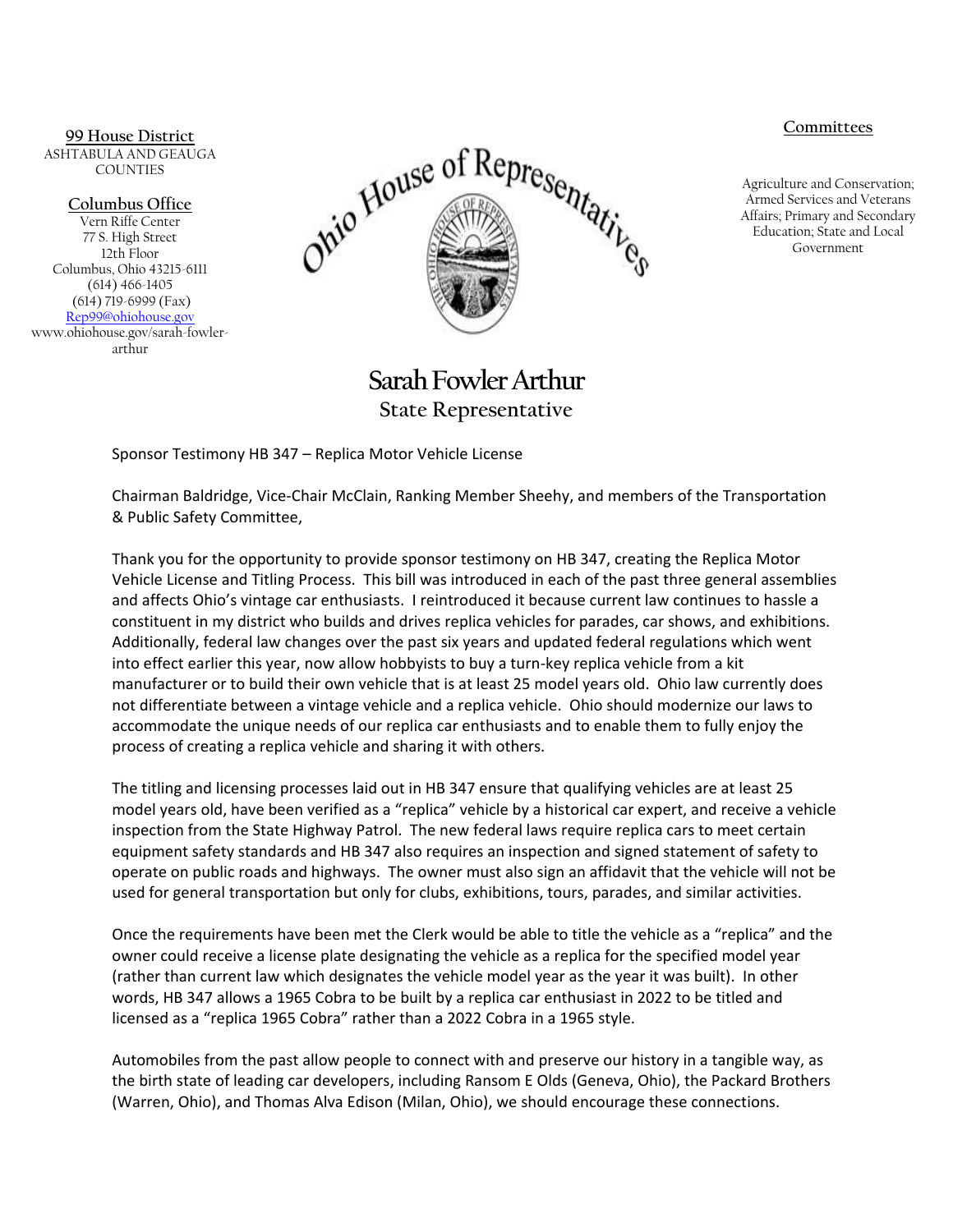## **Committees**

Agriculture and Conservation; Armed Services and Veterans Affairs; Primary and Secondary Education; State and Local Government

**99 House District** ASHTABULA AND GEAUGA COUNTIES

**Columbus Office**

Vern Riffe Center 77 S. High Street 12th Floor Columbus, Ohio 43215-6111 (614) 466-1405 (614) 719-6999 (Fax) [Rep99@ohiohouse.gov](mailto:Rep99@ohiohouse.gov) www.ohiohouse.gov/sarah-fowlerarthur



## **Sarah Fowler Arthur State Representative**

Sponsor Testimony HB 347 – Replica Motor Vehicle License

Chairman Baldridge, Vice-Chair McClain, Ranking Member Sheehy, and members of the Transportation & Public Safety Committee,

Thank you for the opportunity to provide sponsor testimony on HB 347, creating the Replica Motor Vehicle License and Titling Process. This bill was introduced in each of the past three general assemblies and affects Ohio's vintage car enthusiasts. I reintroduced it because current law continues to hassle a constituent in my district who builds and drives replica vehicles for parades, car shows, and exhibitions. Additionally, federal law changes over the past six years and updated federal regulations which went into effect earlier this year, now allow hobbyists to buy a turn-key replica vehicle from a kit manufacturer or to build their own vehicle that is at least 25 model years old. Ohio law currently does not differentiate between a vintage vehicle and a replica vehicle. Ohio should modernize our laws to accommodate the unique needs of our replica car enthusiasts and to enable them to fully enjoy the process of creating a replica vehicle and sharing it with others.

The titling and licensing processes laid out in HB 347 ensure that qualifying vehicles are at least 25 model years old, have been verified as a "replica" vehicle by a historical car expert, and receive a vehicle inspection from the State Highway Patrol. The new federal laws require replica cars to meet certain equipment safety standards and HB 347 also requires an inspection and signed statement of safety to operate on public roads and highways. The owner must also sign an affidavit that the vehicle will not be used for general transportation but only for clubs, exhibitions, tours, parades, and similar activities.

Once the requirements have been met the Clerk would be able to title the vehicle as a "replica" and the owner could receive a license plate designating the vehicle as a replica for the specified model year (rather than current law which designates the vehicle model year as the year it was built). In other words, HB 347 allows a 1965 Cobra to be built by a replica car enthusiast in 2022 to be titled and licensed as a "replica 1965 Cobra" rather than a 2022 Cobra in a 1965 style.

Automobiles from the past allow people to connect with and preserve our history in a tangible way, as the birth state of leading car developers, including Ransom E Olds (Geneva, Ohio), the Packard Brothers (Warren, Ohio), and Thomas Alva Edison (Milan, Ohio), we should encourage these connections.